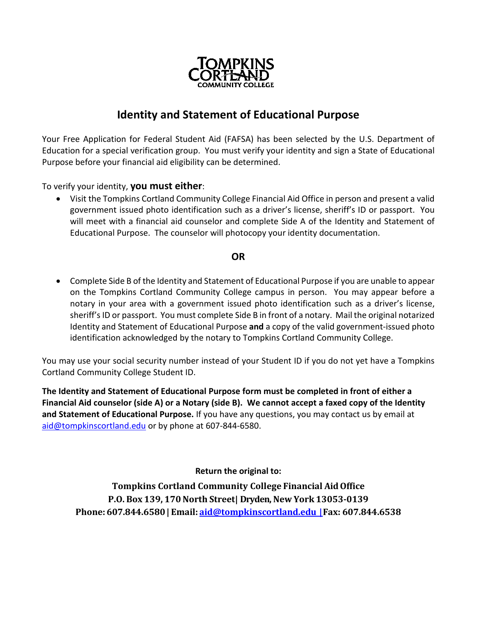

# **Identity and Statement of Educational Purpose**

Your Free Application for Federal Student Aid (FAFSA) has been selected by the U.S. Department of Education for a special verification group. You must verify your identity and sign a State of Educational Purpose before your financial aid eligibility can be determined.

To verify your identity, **you must either**:

• Visit the Tompkins Cortland Community College Financial Aid Office in person and present a valid government issued photo identification such as a driver's license, sheriff's ID or passport. You will meet with a financial aid counselor and complete Side A of the Identity and Statement of Educational Purpose. The counselor will photocopy your identity documentation.

#### **OR**

• Complete Side B of the Identity and Statement of Educational Purpose if you are unable to appear on the Tompkins Cortland Community College campus in person. You may appear before a notary in your area with a government issued photo identification such as a driver's license, sheriff's ID or passport. You must complete Side B in front of a notary. Mail the original notarized Identity and Statement of Educational Purpose **and** a copy of the valid government-issued photo identification acknowledged by the notary to Tompkins Cortland Community College.

You may use your social security number instead of your Student ID if you do not yet have a Tompkins Cortland Community College Student ID.

**The Identity and Statement of Educational Purpose form must be completed in front of either a Financial Aid counselor (side A) or a Notary (side B). We cannot accept a faxed copy of the Identity and Statement of Educational Purpose.** If you have any questions, you may contact us by email at [aid@tompkinscortland.edu](mailto:aid@tompkinscortland.edu) or by phone at 607-844-6580.

**Return the original to:**

**Tompkins Cortland Community College Financial AidOffice P.O. Box 139, 170North Street| Dryden, New York 13053-0139 Phone: 607.844.6580 | Email: [aid@tompkinscortland.edu](mailto:aid@tompkinscortland.edu) | Fax: 607.844.6538**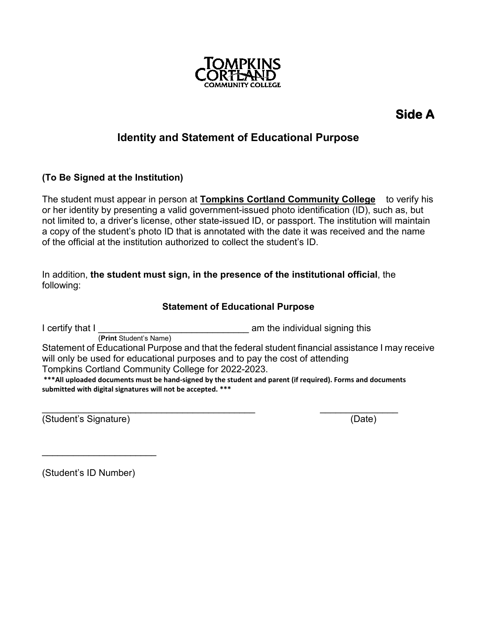

# **Side A**

# **Identity and Statement of Educational Purpose**

## **(To Be Signed at the Institution)**

The student must appear in person at **Tompkins Cortland Community College** to verify his or her identity by presenting a valid government-issued photo identification (ID), such as, but not limited to, a driver's license, other state-issued ID, or passport. The institution will maintain a copy of the student's photo ID that is annotated with the date it was received and the name of the official at the institution authorized to collect the student's ID.

In addition, **the student must sign, in the presence of the institutional official**, the following:

## **Statement of Educational Purpose**

I certify that I  $\frac{1}{(Print Student's Name)}$  am the individual signing this Statement of Educational Purpose and that the federal student financial assistance I may receive will only be used for educational purposes and to pay the cost of attending Tompkins Cortland Community College for 2022-2023. **\*\*\*All uploaded documents must be hand-signed by the student and parent (if required). Forms and documents submitted with digital signatures will not be accepted. \*\*\***

\_\_\_\_\_\_\_\_\_\_\_\_\_\_\_\_\_\_\_\_\_\_\_\_\_\_\_\_\_\_\_\_\_\_\_\_\_\_\_\_\_ \_\_\_\_\_\_\_\_\_\_\_\_\_\_\_ (Student's Signature) (Date)

(Student's ID Number)

\_\_\_\_\_\_\_\_\_\_\_\_\_\_\_\_\_\_\_\_\_\_